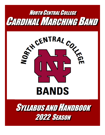

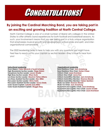

# **By joining the Cardinal Marching Band, you are taking part in an exciting and growing tradition at North Central College.**

North Central College is one of a small number of liberal arts colleges in the United States to offer athletic band experiences for both football and basketball seasons. As such, your involvement means that you are taking part in a truly unique organization that emphasizes musical growth and development, school pride and spirit, and interorganizational camaraderie.

The 2022 leadership team is here to help you with any questions you might have. Feel free to reach out to your captain or section leader—they'd love to hear from you!

#### **Instructional Leadership**

**Drum Majors: Claire Mikulcik & Teyah Schweig High Woodwinds Section Leader: Diego Mateo Saxophone Section Leader: Lauren Gradle High Brass Section Leader: Ethan Dunk Low Brass Section Leader: Mauricio Palma-Atilano Low Brass Assistant Section Leader: Alex Miller Percussion Section Leader: Olivia Gatto Percussion Assistant Section Leader: Grace Shelly Color Guard Captain: Isabella (Izzi) Miller Color Guard Assistant Captain: Maggie Berg**

#### **Organizational Leadership Band Relations Chair: Jack Armstrong Band Relations Vice Chair: Dorian Chase Uniform Chair: Laura Krambeer Uniform Vice Chair: Jenna Roe Uniform Committee Member: Jack Armstrong Uniform Committee Member: Shannon Blonski Uniform Committee Member: Fabian Quintero Music Co-Chair: Shannon Blonski Music Co-Chair: Jack Armstrong Equipment and Logistics Chair: Jack Armstrong Equipment and Logistics Vice Chair: Lauren Gradle Equipment and Logistics Vice Chair: Laura Krambeer**

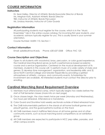# **COURSE INFORMATION**

## **Instructors**

Dr. Sean Kelley, Director of Athletic Bands/Associate Director of Bands Ms. Meghan Kats, Assistant Athletic Bands Director TBD, Instructor of Athletic Bands Percussion Ms. Lindsay Mandra, Instructor of Color Guards

## **Registration Information**

All participating students must register for the course, which is in the "Music Ensembles" tab in the online course catalog. For incoming first year students, your academic advisors typically register for you. This is usually done in your summer orientation.

Course Number: MUEN 110, Section 1

## **Contact Information**

Email: spkelley@noctrl.edu Phone: 630-637-5358 Office: FAC 125

## **Course Description and Objectives**

Open to all students with woodwind, brass, percussion, or color guard experience, the Cardinal Marching Band serves as both a performance-based academic course and a service organization. Centered on the musical development of its members, students in this course will: 1) perform music of a wide variety of styles and genres; 2) develop time management, organization, and leadership skills; and 3) serve North Central College and Greater Naperville by providing a spirited atmosphere at athletic, campus, and community events. Scholarships for involvement are available. All interested students must contact the director prior to enrolling.

# **Cardinal Marching Band Requirement Overview**

- 1) Members must attend band camp, which typically begins two weeks before the start of Fall Semester classes (more info on next page)
- 2) Once classes begin, the class meets twice per week (Monday and Wednesday), two hours per rehearsal. Attendance is mandatory.
- 3) Color Guard and Drumline hold weekly sectionals outside of listed rehearsal hours
- 4) The CMB instrumentalists perform in the stands at all home football games and playoff games, and the guard performs routines on the track
- 5) All CMB members march halftime field shows at all home games and at other community events, such as local marching band competitions as an exhibition group
- 6) All CMB members are expected to participate in NCC pep rallies, parades, and other campus events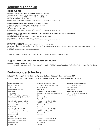# **Rehearsal Schedule**

## **Band Camp**

#### **Percussion/Color Guard Move-In (for NCC residents) & Retreat**

Wednesday, August 10, 2022 through Friday, August 12, 2022 Registration/move-in for NCC residents: 8:00 am to 9:00 am Rehearsals begin in early afternoon *Detailed itineraries will be posted/emailed at least two weeks prior to the events*

#### **Leadership Registration, Move-In (for NCC residents) & Retreat**

Thursday, August 11 2022 through Friday, August 12, 2022 Registration/move-in time: 8:00 am to 9:00 am Sessions begin in the afternoon *Detailed itineraries will be posted/emailed at least two weeks prior to the events*

#### **Non-Leadership Winds Registration, Move-In (for NCC Residents) & Team-Building Day for ALL Members**

Friday, August 12, 2022 Registration/move-in Time for NCC residents: 8:00 am to 10:00 am Registration/report time for commuters: 1:00 pm *Detailed itineraries will be posted/emailed at least two weeks prior to the events*

#### **Full Ensemble Rehearsals**

Saturday, August 13, 2021 through/including Thursday, August 18, 2022 Rehearsals begin daily at 8:00 am and end at 5:00 pm, with evening rehearsals (6:00 pm to 8:30 pm) also on Saturday, Tuesday, and Thursday.

*Evening social activities will follow on certain days.*

*Sunday, August 14, 2022- Fun Day at Centennial Beach, Downtown Naperville (no rehearsals)*

## **Regular Fall Semester Rehearsal Schedule**

#### Mondays and Wednesdays, 6:30 to 8:30 pm

*All Fall Semester rehearsals will be held at the practice field (Behind Res/Rec), Benedetti-Wehrli Stadium, or the Fine Arts Center*

# **Performance Schedule**

### *Subject to Change \* Spirit, Community, and College Requested Appearances TBA CLEAR GAME DAYS OF CONFLICTS FOR THE ENTIRE DAY, AS KICKOFF TIMES OFTEN CHANGE*

| Friday, August 19, 2021          | Saturday, October 29, 2022          | Saturday, December 10, 2022    |
|----------------------------------|-------------------------------------|--------------------------------|
| Red & White Night                | Opponent: North Park University     | <b>NCAA Playoff Semifinals</b> |
| Call Time TBA                    | Rehearsal: TBA                      | Rehearsal: TBA                 |
| Event Begins: 8:00 pm            | Kickoff: TBA                        | Kickoff: TBA                   |
| Date: TBA                        | Saturday, November 12, 2022         | December 15-17, 2022           |
| The Huddle                       | Opponent: Augustana College (Senior | NCAA National Championship     |
| Call Time: TBA (Late Morning)    | Day)                                | Annapolis, MD                  |
| Event Begins: TBA (Late Morning) | Rehearsal: TBA                      |                                |
|                                  | Kickoff: TBA                        |                                |
| Saturday, September 24, 2022     | Saturday, November 19, 2022         |                                |
| Opponent: Elmhurst University    | NCAA Playoff Round 1                |                                |
| Rehearsal: TBA                   | Rehearsal: TBA                      |                                |
| Kickoff: TBA                     | Kickoff: TBA                        |                                |
| Saturday, October 1, 2022        | Saturday, November 26, 2022         |                                |
| Opponent: Wheaton College        | NCAA Playoff Round 2                |                                |
| (Homecoming)                     | Rehearsal: TBA                      |                                |
| Rehearsal: TBA                   | Kickoff: TBA                        |                                |
| Kickoff: TBA                     |                                     |                                |
| Saturday, October 15, 2022       | Saturday, December 3, 2022          |                                |
| Opponent Millikin University     | NCAA Playoff Quarterfinals          |                                |
| Rehearsal: TBA                   | Rehearsal: TBA                      |                                |
| Kickoff: TBA                     | Kickoff: TBA                        |                                |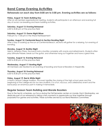# **Band Camp Evening Activities**

## **Rehearsals run each day from 8:00 am to 5:00 pm. Evening activities are as follows:**

### **Friday, August 12: Team-Building Day**

After an all-member organizational meeting, students will participate in an afternoon and evening full day of social, ice-breaking and team building activities.

### **Saturday, August 13: Evening Rehearsal**

6:30 to 8:30 pm at the practice field

### **Saturday, August 13: Game Night/Mixer**

9:00 pm to 11:00 pm in the Ward Hall Basement

### **Sunday, August 14: Centennial Beach & Section Bonding Night**

After a day of soaking up the sun at Centennial Beach, sections will gather for a relaxing, fun evening of bonding.

### **Monday, August 15: Bonfire Night**

Held in Jefferson Plaza, the band hosts a bonfire complete with snacks and refreshments. Students often play Ultimate Frisbee, break out the guitar, and otherwise hang out together and have a great time.

### **Tuesday, August 16: Evening Rehearsal**

6:30 to 8:30 pm at the practice field

### **Wednesday, August 17: Bowling Night**

All members are treated to an evening of bowling and food at Bowlero in Naperville.

### **Thursday, August 18: Evening Rehearsal**

6:30 to 8:30 pm at the practice field

### **Friday, August 19: Red & White Night**

A North Central College tradition, this event signifies the closing of the high school years and the beginning of the college era for our new students. It is a fun, raucous, and celebratory event and the band plays an enormous part in making it memorable.

## **Regular Season Team Building and Morale Boosters**

Due to the hectic schedules, our focus during the Fall Semester centers on morale. Each Wednesday, we dedicate part of our rehearsal to taking a few moments to appreciate our time together through purposeful fun games and activities. These activities are led by our Band Relations committee.

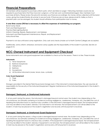# **Financial Preparations**

All members will be required to purchase uniform parts, which are listed on page 7. Returning members would only be required to purchase items that they have lost, outgrown, or that are worn out/stained/damaged. New members must purchase all items. Please review the price list and plan your finances accordingly. No money will be collected until the band camp, giving the student/family all summer to secure funds. If finances are an issue, please email Dr. Kelley so that a payment plan can be arranged. No student should withdraw from participation due to money.

### **A one-time course \$90 fee is necessary to offset the expenses of maintaining our program.**

Band Camp Meals Paint and Field Equipment Practice Field Lighting Rental Uniform Cleaning, Repairs, Replacement, and Upkeep Instrument and Field Equipment Maintenance, Repair, and Replacement Instructional Fees

Payment is not due until band camp registration. Only cash and checks (made out to North Central College) are accepted.

Additionally, some uniform, rehearsal, and band camp supplies are the responsibility of the student to provide. See lists on pages 8-10.

# **NCC-Owned Instrument and Equipment Checkout**

Some instruments and color guard equipment are available to check out for the season. There is no fee. These include:

#### **Instruments**

- 1) Tenor Saxophone
- 2) Baritone Saxophone
- 3) Mellophone
- 4) Baritone
- 5) Sousaphone
- 6) All Drumline Instruments (snare, tenors, bass, cymbals)

#### **Color Guard Equipment**

- 1) Flags
- 2) Poles

Storage is provided in the Merner Field House band storage room. If the instrument is stored elsewhere, the user assumes all responsibility for the security of the instrument/equipment. Regular maintenance of the instrument/equipment is the student's responsibility.

### **Damaged, Destroyed, or Unreturned Instruments**

If, at any point during the season, the instrument is damaged beyond normal wear, the student may (depending on the circumstances, but primarily centering on incidence involving negligence, carelessness, horseplay, etc.) be billed the cost of repairing the instrument back to checkout day condition. If the instrument is damaged beyond repair, the full replacement cost may be billed to the student. Likewise, if an instrument is not returned, the full replacement cost will be billed to the student. A hold may be placed on the student's registration and records until full payment is received.

### **Damaged, Destroyed, or Unreturned Guard Equipment**

If, at any point during the season, a flag or pole is damaged beyond normal wear, the student may (depending on the circumstances, but primarily centering on incidence involving negligence, carelessness, horseplay, etc.) be billed the cost of repairing the equipment back to checkout day condition. If the equipment is damaged beyond repair, the full replacement cost may be billed to the student. Likewise, if equipment is not returned, the full replacement cost will be billed to the student. A hold may be placed on the student's registration and records until full payment is received.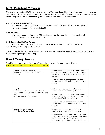# **NCC Resident Move-In**

Cardinal Marching Band (CMB) members living in NCC-owned student housing will move into their residence hall early in order to take part in band camp. The leadership team will distribute keys to these students as they arrive. **Key pickup time is part of the registration process and locations are as follows**:

### **CMB Percussion & Color Guard**

Wednesday, August 10, 8:00 am to 9:00 am, Fine Arts Center (FAC) Room 114 (Band Room) 171 E. Chicago Ave., Naperville, IL 60540

### **CMB Leadership**

Thursday, August 11, 8:00 am to 9:00 am, Fine Arts Center (FAC) Room 114 (Band Room) 171 E. Chicago Ave., Naperville, IL 60540

### **CMB Non-Leadership Wind Players**

Friday, August 12, 8:00 am to 10:00 am, Fine Arts Center (FAC) Room 114 (Band Room) 171 E. Chicago Ave., Naperville, IL 60540

Students living in off-campus housing should make arrangements with their individual landlords to move in before the beginning of band camp.

# **Band Camp Meals**

Specific meals are covered by the CMB budget during retreat/camp rehearsal days. Please read the following information very carefully:

| August 10 through August 11<br>Leadership, Percussion, and Color Guard<br>Retreats                                                                 | Leaders, color guard, and percussion will be<br>provided lunch and dinner at Kaufman Dining<br>Hall out of the CMB budget. Breakfast is "on<br>your own."<br>Kaufman's policies change yearly. Students<br>may be required to swipe or sign in at the front<br>counter.                                                              |
|----------------------------------------------------------------------------------------------------------------------------------------------------|--------------------------------------------------------------------------------------------------------------------------------------------------------------------------------------------------------------------------------------------------------------------------------------------------------------------------------------|
| August 12<br>Leadership, Percussion, and Color Guard<br>Retreats Non-Leadership Wind Player Move-In<br>Day<br><b>ALL-CMB Team-Building Retreat</b> | All students will be provided with dinner at<br>Kaufman out of the CAB budget.<br>Leaders, color guard, and percussion will be<br>provided with lunch at Kaufman out of the CMB<br>budget. Breakfast is "on your own."<br>Kaufman's policies change yearly. Students<br>may be required to swipe or sign in at the front<br>counter. |
| August 13 through August 18<br><b>Band Camp Rehearsal Days</b>                                                                                     | All students will need to provide their own<br>breakfast and dinner throughout camp.<br>All students will be provided with LUNCH ONLY<br>at Kaufman out of the CMB Budget. Kaufman's<br>policies change yearly. Students may be<br>required to swipe or sign in at the front counter.                                                |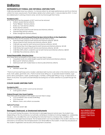# **Uniforms**

### **INSTRUMENTALIST FORMAL AND INFORMAL UNIFORM PARTS**

CMB instrumentalists have two uniforms: 1) a formal uniform for all major performances and 2) an informal uniform for more casual events. The list below details what uniform parts: 1) are provided by NCC; 1) must be ordered prior to arriving at band camp; and 3) must be brought from home.

#### **Provided by NCC**

*All of these items are the property of NCC and must be returned*

- Uniform Jacket (formal uniform)
- Pants/"Bibbers" (formal uniform)
- Shako (i.e. hat) (formal uniform)
- Plume (formal uniform)
- CMB rain jacket (used for both formal and informal uniforms)
- Garment Bag (formal uniform)
- Shako storage box (formal uniform)

#### **Ordered via Webform and Purchased/Picked Up Upon Arrival at Move-In Day Registration**

*All of these items are the property of the student and are theirs to keep*

- Marching shoes (used for both formal and informal uniforms)- \$35.00
- Gloves (used for both formal and informal uniforms)- \$5.00
- CMB ball cap (used for both formal and informal uniforms)- \$10.00
- CMB Game Day Cinch Bag (used for both formal and informal uniforms)- \$15.00
- CMB Winter Hat (used for both formal and informal uniforms)- \$15.00
- CMB Nike Drifit uniform undershirt (use for both formal and informal uniforms)- \$20.00
- CMB Nike Polo (informal uniform)- \$36

#### **Student Responsibility- Bring from Home**

*All of these items are property of the student and are theirs to keep*

- Long black socks (no ankle-length) (used for both formal and informal uniforms)
- Black pants\* (informal uniform)
- Solid back belt with modest black or silver buckle (informal uniform)

#### **Optional Purchase**

• Member Jacket- \$66

*\* Pants must have belt loops and a modest, solid black belt must be work when in the informal uniform (no studs, rivets, spikes, grommets, etc.). Pants must be loose sitting (i.e. no spandex-based material, yoga*  pants, skinny pants/jeans, capris, quarter-length, or similar), nothing tight fitting or snug, no black jeans or *denim of any kind. Your pants and belt SHOULD be boring! Do not draw attention to yourself through the uniform.* 

#### **COLOR GUARD UNIFORM PARTS**

#### **Provided by NCC**

*This item is the property of NCC and must be returned*

• Color guard uniform

#### **Ordered through Color Guard Captains**

*These items are the property of the student and are theirs to keep*

- CCG (Cardinal Color Guard) Duffel Bag
- CCG Track Suit
- Ribbons, bows, and uniform accessories

#### **Optional Purchase**

• Member Jacket- \$66

#### **Damaged, Destroyed, or Unreturned Instruments**

If, at any point during the season, the instrument is damaged beyond normal wear, the student may (depending on the circumstances, but primarily centering on incidence involving negligence, carelessness, horseplay, etc.) be billed the cost of repairing the instrument back to checkout day condition. If the instrument is damaged beyond repair, the full replacement cost may be billed to the student. Likewise, if an instrument is not returned, the full replacement cost will be billed to the student. A hold may be placed on the student's registration and records until full payment is received.



*Top to Bottom: Formal Instrumental Uniform, Informal Instrumental Uniform, Color Guard Uniform*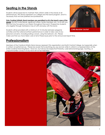# **Seating in the Stands**

Students will be expected to maintain their uniform while in the stands at all performances. We always represent our college and the band program, and it is necessary that we look polished and professional.

#### **Only Cardinal Athletic Band members are permitted to sit in the band's area of the**

stands. Do NOT invite friends, significant others, family members, etc. to sit with you. We must stay focused on our mission throughout the event. Prospective students who register through Admissions may sit with and play with the band.

Students will be provided with a minimum of 15 minutes between pregame activities and the national anthem performance in order to take care of any personal concerns, including eating a snack, using the restroom, etc. Please

make sure that you have taken care of all of these issues prior to the announced report time.

# **Professionalism**

Members of the Cardinal Athletic Band always represent this organization and North Central College, but especially when in uniform at performances. Please be aware that everything you say and do while in uniform is a representation of the entire Cardinal Marching Band. Have fun, but always be respectful! Profanity, rude behavior/language, taunting, or unsportsmanlike conduct of any kind will not be tolerated.





*CMB Member Jacket*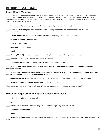# **REQUIRED MATERIALS**

## **Band Camp Materials**

Band Camp is an intense but fun week of rehearsals that takes place before Fall Semester classes begin. The purpose of Band Camp is to learn the field show and stand tunes, as well as to bond as a group. Participation in Band Camp is a mandatory requirement for all members of the Cardinal Marching Band. Below is a checklist of items to make sure you have with you by the time you move in:

| Instrument and any necessary accessories (valve oil, reeds, extra drum sticks, etc.)                                                                                          |
|-------------------------------------------------------------------------------------------------------------------------------------------------------------------------------|
| <b>Comfortable clothes</b> (Preferably shorts and t-shirts-- wicking fabrics such as Under Armor or Nike Dri-fit are<br>recommended)                                          |
| Athletic shoes (MUST have a back - neither sandals nor marching barefoot are acceptable)                                                                                      |
| Insulated water jug, Camelbak, etc.                                                                                                                                           |
| ___ Hat and/or sunglasses                                                                                                                                                     |
| <b>Sunscreen</b> (SPF 50 or higher)                                                                                                                                           |
| Pencil                                                                                                                                                                        |
| 1" 3-ring binder* (purchase one labeled "heavy duty"—economy or mid-range ones will not last!)                                                                                |
| Clear 8.5 x 11 sheet protectors for drill* (Around 20 sheets)                                                                                                                 |
| A pair of thick shoestrings* (used to create a shoulder strap for your music/drill book)                                                                                      |
| Lyre (You must purchase and have on-hand by Move-In. Each individual instrument is too different for the band to<br>provide all models)                                       |
| Flip Folder (You may either purchase and have on-hand by Move In or purchase one from the band upon arrival. Exact<br>cost will be communicated about 2 weeks before Move-In) |
| One-time \$90 Course Fee (see breakdown on page 6) Checks should be made out to North Central College.                                                                        |
| Payment for all student-owned uniform parts (see pg. 8 for parts list).                                                                                                       |
| *These items are used to create your drill book. Please see separate attachment for assembly instructions.                                                                    |
| <b>Materials Required at All Regular Season Rehearsals</b>                                                                                                                    |
| Drill Book with all show music and drill                                                                                                                                      |
| Lyre                                                                                                                                                                          |
| Flip Folder with all stand tunes, including national anthem, fight song, and alma mater                                                                                       |
| <b>Appropriate Athletic Shoes</b>                                                                                                                                             |
| Pencil                                                                                                                                                                        |
| Working Instrument including plenty of unchipped/uncracked reeds (woodwinds) and appropriate-sized mouthpieces<br>(brass)                                                     |
|                                                                                                                                                                               |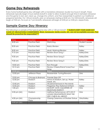# **Game Day Rehearsals**

Every home football game day will begin with a mandatory rehearsal. Usually two hours in length, these rehearsals typically begin 5 hours before kickoff in order to allow students enough time in between rehearsal and the game to rest, eat, clean up, change into uniform, and then reassemble to perform our traditional pregame festivities. For 1:00 pm kickoffs, plan on rehearsals starting at 8:00 am. For 2:00 kickoffs, rehearsals will begin at 9:00 am. For 6 pm or 7 pm kickoffs, rehearsals will begin at 2:00 pm or 3:00 pm, respectively.

# **Sample Game Day Itinerary**

The following is a sample of the typical game day with a 1:00 pm kickoff. \*\*\***ALWAYS KEEP YOUR GAME DAY CLEAR OF OBLIGATIONS/COMMITMENTS. Work, homework, family events, etc. are not acceptable excuses. Plan ahead! Be proactive! Be responsible!\*\*\***

| Time            | Location              | Event                                                                                             | Facilitator    |
|-----------------|-----------------------|---------------------------------------------------------------------------------------------------|----------------|
| 8:30 am         | <b>Practice Field</b> | Stretching                                                                                        | Student Leader |
| 8:35 am         | <b>Practice Field</b> | <b>Basics Review</b>                                                                              | Kelley         |
| 8:50 am         | <b>Practice Field</b> | Music Warmup/Review                                                                               | Kelley         |
| $9:10$ am       | <b>Practice Field</b> | Review Show Song 1                                                                                | Kelley/DMs     |
| $9:35$ am       | <b>Practice Field</b> | Review Show Song 2                                                                                | Kelley/DMs     |
| $9:50$ am       | <b>Practice Field</b> | Review Show Song 3                                                                                | Kelley/DMs     |
| 10:05 am        | <b>Practice Field</b> | Run-Through                                                                                       | Kelley/DMs     |
| $10:15$ am      | <b>Practice Field</b> | Review Cheers/Stand Tunes/Your<br>Song                                                            | <b>DMs</b>     |
| 10:30 am        |                       | <b>Break</b>                                                                                      |                |
| 12:00 pm        | Jefferson Plaza       | Reassemble-Tuning/Rewarm                                                                          | <b>DMs</b>     |
| 12:05 pm        | Chicago & Brainard    | Parade Step-Off                                                                                   |                |
| 12:30 pm        | Stadium               | Arrive at Stadium, Set up, Water<br>break, etc.                                                   | Kelley         |
| 12:45 pm        | Stadium               | All personnel back in the stands                                                                  |                |
| 12:55 pm        | Stadium               | Pregame: Play National Anthem                                                                     | Kelley         |
| $1:00$ pm       | Stadium               | KICKOFF: GIVE 4 QUARTERS OF<br>RELENTLESS ENERGY!                                                 | <b>DMs</b>     |
| 2:30 pm (ish)   | Stadium               | Halftime Performance: LET'S DO IT<br><b>AGAIN! DEMONSTRATE WHAT THE</b><br>2021 CMB IS ALL ABOUT! | <b>DMs</b>     |
| 4:30 pm (ish)   | Championship<br>Plaza | Closing Ceremony at Shatzer Statue                                                                | DMs/Kelley     |
| $4:45$ pm (ish) |                       | <b>Dismissal</b>                                                                                  | DMs/Kelley     |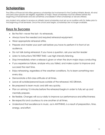# **Scholarships**

The Office of Financial Aid offers generous scholarships for involvement in the Cardinal Athletic Bands. All wind and percussion players are eligible, regardless of major. These scholarships must be offered before the beginning of Fall Semester and are sometimes unavailable if other scholarships or aid are offered.

Any student who wishes to receive an athletic band scholarship must set up an audition with Dr. Kelley prior to the beginning of Fall Semester. Once the school year begins, scholarships are no longer available.

# **Keys to Success**

- Be the first—never the last—to rehearsals.
- Always have the needed and required rehearsal equipment.
- Wear appropriate rehearsal attire.
- Prepare and master your part well before you have to perform it in front of an audience.
- Do not talk during rehearsal. If you have a question, ask your section leader
- Listen to instructions THE FIRST TIME—use high intensity listening.
- Stop immediately when a release is given or when the drum major stops conducting
- If you experience failure, analyze why you failed, and make a plan to improve and succeed the next time.
- Enjoy rehearsing, regardless of the weather conditions. Try to learn something new every day.
- Demonstrate a first-class attitude at all times.
- Leave all outside/personal issues outside of the rehearsal. NO DRAMA.
- Be prepared to learn music and drill very quickly.
- Plan on arriving 15 minutes before the rehearsal begins in order to fully set up and mentally prepare.
- Be flexible. Changes will occur daily to improve our performance and effectiveness
- Be respectful and courteous to one another at all times.
- Understand that excellence in music, as in ANYTHING, is a result of preparation, time, energy, and effort.